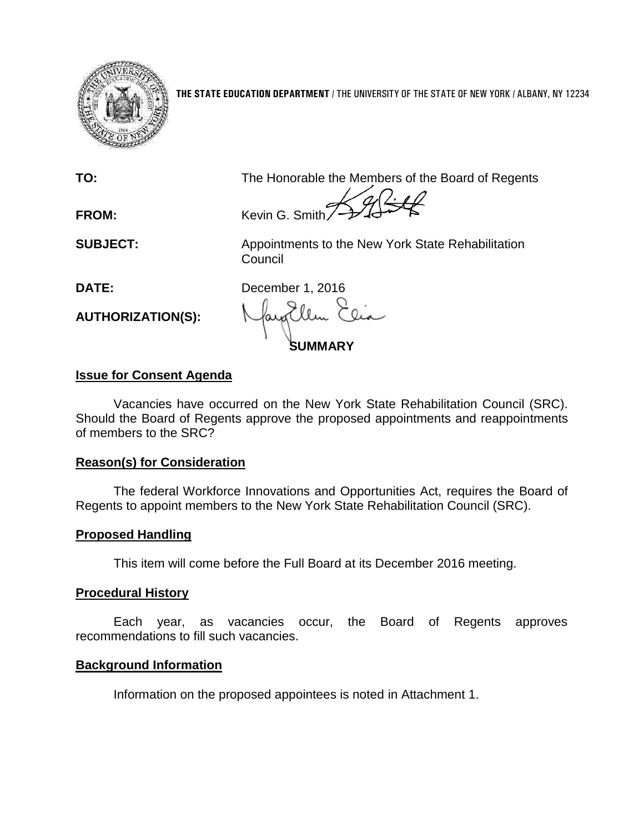

**THE STATE EDUCATION DEPARTMENT** / THE UNIVERSITY OF THE STATE OF NEW YORK / ALBANY, NY 12234

**TO:** The Honorable the Members of the Board of Regents

**FROM:** Kevin G. Smith

**SUBJECT:** Appointments to the New York State Rehabilitation Council

**AUTHORIZATION(S):**

**DATE:** December 1, 2016

**SUMMARY**

# **Issue for Consent Agenda**

Vacancies have occurred on the New York State Rehabilitation Council (SRC). Should the Board of Regents approve the proposed appointments and reappointments of members to the SRC?

# **Reason(s) for Consideration**

The federal Workforce Innovations and Opportunities Act, requires the Board of Regents to appoint members to the New York State Rehabilitation Council (SRC).

# **Proposed Handling**

This item will come before the Full Board at its December 2016 meeting.

# **Procedural History**

Each year, as vacancies occur, the Board of Regents approves recommendations to fill such vacancies.

# **Background Information**

Information on the proposed appointees is noted in Attachment 1.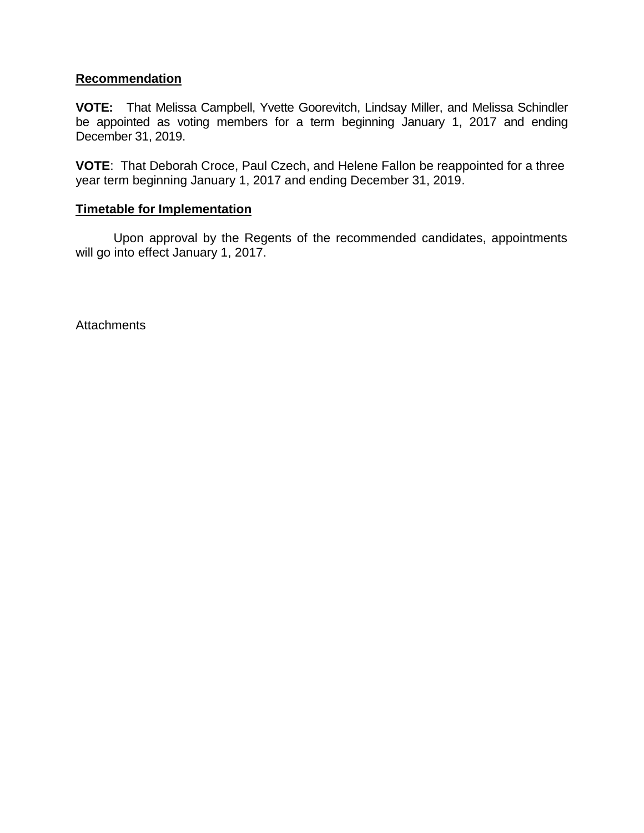## **Recommendation**

**VOTE:** That Melissa Campbell, Yvette Goorevitch, Lindsay Miller, and Melissa Schindler be appointed as voting members for a term beginning January 1, 2017 and ending December 31, 2019.

**VOTE**: That Deborah Croce, Paul Czech, and Helene Fallon be reappointed for a three year term beginning January 1, 2017 and ending December 31, 2019.

## **Timetable for Implementation**

Upon approval by the Regents of the recommended candidates, appointments will go into effect January 1, 2017.

**Attachments**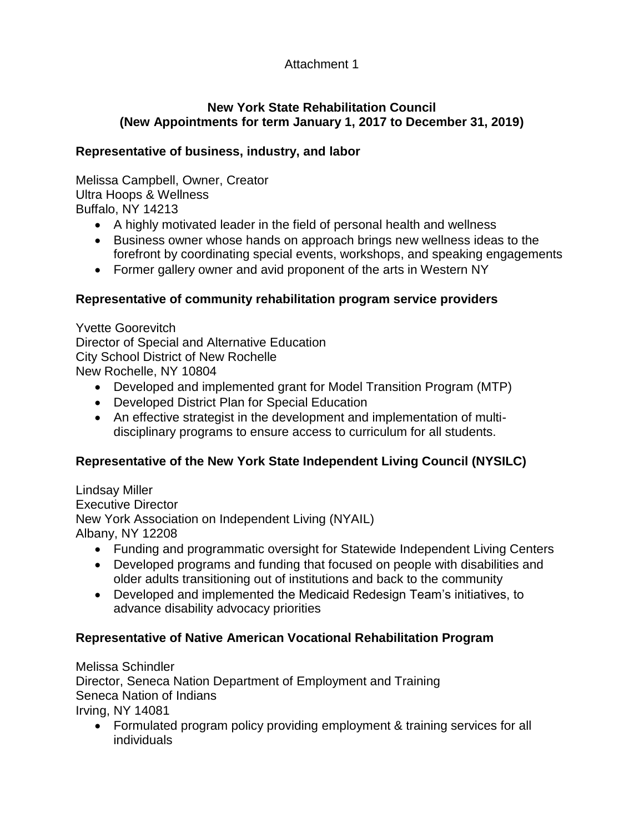# Attachment 1

# **New York State Rehabilitation Council (New Appointments for term January 1, 2017 to December 31, 2019)**

# **Representative of business, industry, and labor**

Melissa Campbell, Owner, Creator Ultra Hoops & Wellness Buffalo, NY 14213

- A highly motivated leader in the field of personal health and wellness
- Business owner whose hands on approach brings new wellness ideas to the forefront by coordinating special events, workshops, and speaking engagements
- Former gallery owner and avid proponent of the arts in Western NY

# **Representative of community rehabilitation program service providers**

Yvette Goorevitch Director of Special and Alternative Education City School District of New Rochelle New Rochelle, NY 10804

- Developed and implemented grant for Model Transition Program (MTP)
- Developed District Plan for Special Education
- An effective strategist in the development and implementation of multidisciplinary programs to ensure access to curriculum for all students.

# **Representative of the New York State Independent Living Council (NYSILC)**

Lindsay Miller Executive Director New York Association on Independent Living (NYAIL) Albany, NY 12208

- Funding and programmatic oversight for Statewide Independent Living Centers
- Developed programs and funding that focused on people with disabilities and older adults transitioning out of institutions and back to the community
- Developed and implemented the Medicaid Redesign Team's initiatives, to advance disability advocacy priorities

# **Representative of Native American Vocational Rehabilitation Program**

Melissa Schindler Director, Seneca Nation Department of Employment and Training Seneca Nation of Indians Irving, NY 14081

 Formulated program policy providing employment & training services for all individuals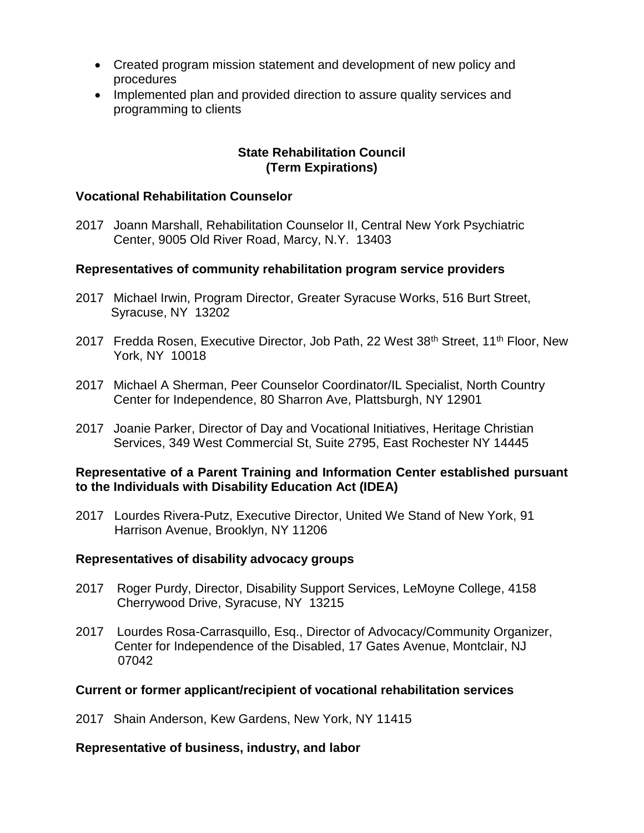- Created program mission statement and development of new policy and procedures
- Implemented plan and provided direction to assure quality services and programming to clients

## **State Rehabilitation Council (Term Expirations)**

### **Vocational Rehabilitation Counselor**

2017 Joann Marshall, Rehabilitation Counselor II, Central New York Psychiatric Center, 9005 Old River Road, Marcy, N.Y. 13403

## **Representatives of community rehabilitation program service providers**

- 2017 Michael Irwin, Program Director, Greater Syracuse Works, 516 Burt Street, Syracuse, NY 13202
- 2017 Fredda Rosen, Executive Director, Job Path, 22 West 38<sup>th</sup> Street, 11<sup>th</sup> Floor, New York, NY 10018
- 2017 Michael A Sherman, Peer Counselor Coordinator/IL Specialist, North Country Center for Independence, 80 Sharron Ave, Plattsburgh, NY 12901
- 2017 Joanie Parker, Director of Day and Vocational Initiatives, Heritage Christian Services, 349 West Commercial St, Suite 2795, East Rochester NY 14445

### **Representative of a Parent Training and Information Center established pursuant to the Individuals with Disability Education Act (IDEA)**

2017 Lourdes Rivera-Putz, Executive Director, United We Stand of New York, 91 Harrison Avenue, Brooklyn, NY 11206

#### **Representatives of disability advocacy groups**

- 2017 Roger Purdy, Director, Disability Support Services, LeMoyne College, 4158 Cherrywood Drive, Syracuse, NY 13215
- 2017 Lourdes Rosa-Carrasquillo, Esq., Director of Advocacy/Community Organizer, Center for Independence of the Disabled, 17 Gates Avenue, Montclair, NJ 07042

## **Current or former applicant/recipient of vocational rehabilitation services**

2017 Shain Anderson, Kew Gardens, New York, NY 11415

### **Representative of business, industry, and labor**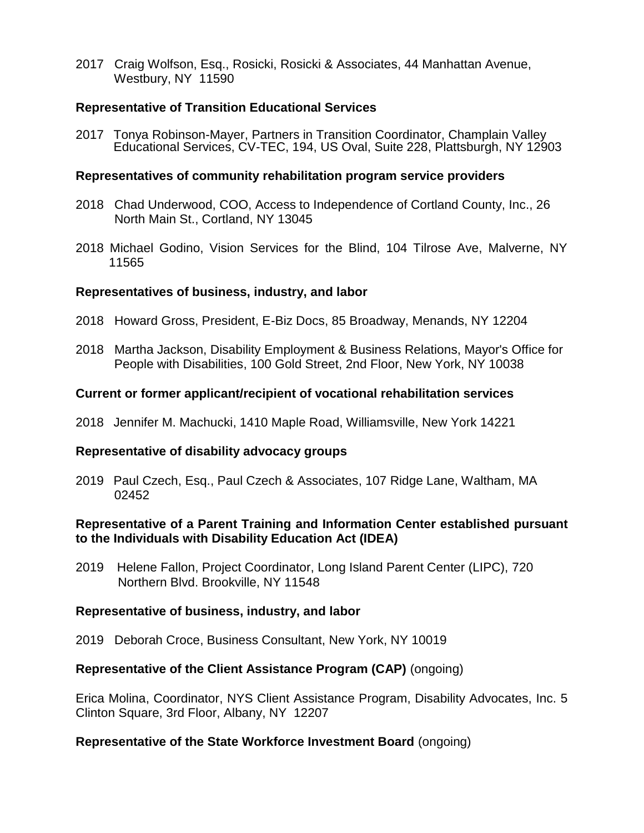2017 Craig Wolfson, Esq., Rosicki, Rosicki & Associates, 44 Manhattan Avenue, Westbury, NY 11590

### **Representative of Transition Educational Services**

2017 Tonya Robinson-Mayer, Partners in Transition Coordinator, Champlain Valley Educational Services, CV-TEC, 194, US Oval, Suite 228, Plattsburgh, NY 12903

#### **Representatives of community rehabilitation program service providers**

- 2018 Chad Underwood, COO, Access to Independence of Cortland County, Inc., 26 North Main St., Cortland, NY 13045
- 2018 Michael Godino, Vision Services for the Blind, 104 Tilrose Ave, Malverne, NY 11565

### **Representatives of business, industry, and labor**

- 2018 Howard Gross, President, E-Biz Docs, 85 Broadway, Menands, NY 12204
- 2018 Martha Jackson, Disability Employment & Business Relations, Mayor's Office for People with Disabilities, 100 Gold Street, 2nd Floor, New York, NY 10038

## **Current or former applicant/recipient of vocational rehabilitation services**

2018 Jennifer M. Machucki, 1410 Maple Road, Williamsville, New York 14221

## **Representative of disability advocacy groups**

2019 Paul Czech, Esq., Paul Czech & Associates, 107 Ridge Lane, Waltham, MA 02452

### **Representative of a Parent Training and Information Center established pursuant to the Individuals with Disability Education Act (IDEA)**

2019 Helene Fallon, Project Coordinator, Long Island Parent Center (LIPC), 720 Northern Blvd. Brookville, NY 11548

#### **Representative of business, industry, and labor**

2019 Deborah Croce, Business Consultant, New York, NY 10019

## **Representative of the Client Assistance Program (CAP)** (ongoing)

Erica Molina, Coordinator, NYS Client Assistance Program, Disability Advocates, Inc. 5 Clinton Square, 3rd Floor, Albany, NY 12207

#### **Representative of the State Workforce Investment Board** (ongoing)